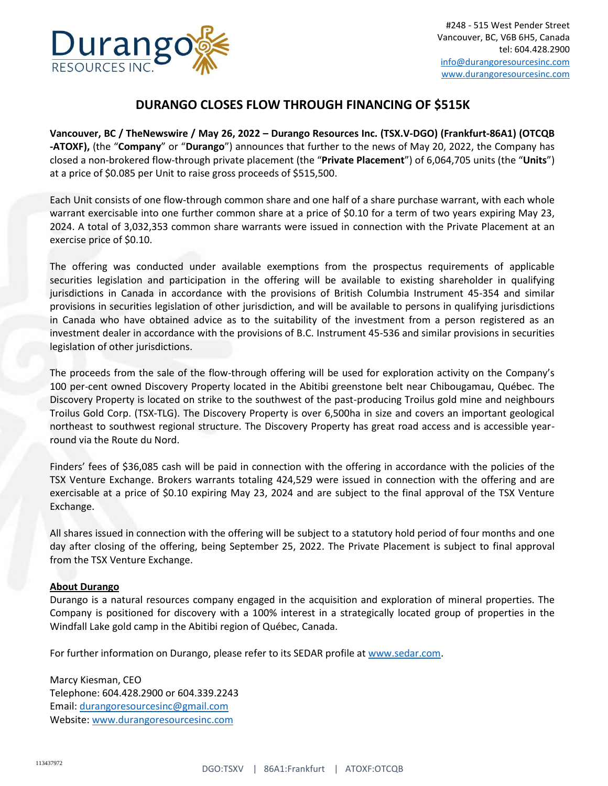

## **DURANGO CLOSES FLOW THROUGH FINANCING OF \$515K**

**Vancouver, BC / TheNewswire / May 26, 2022 – Durango Resources Inc. (TSX.V-DGO) (Frankfurt-86A1) (OTCQB -ATOXF),** (the "**Company**" or "**Durango**") announces that further to the news of May 20, 2022, the Company has closed a non-brokered flow-through private placement (the "**Private Placement**") of 6,064,705 units (the "**Units**") at a price of \$0.085 per Unit to raise gross proceeds of \$515,500.

Each Unit consists of one flow-through common share and one half of a share purchase warrant, with each whole warrant exercisable into one further common share at a price of \$0.10 for a term of two years expiring May 23, 2024. A total of 3,032,353 common share warrants were issued in connection with the Private Placement at an exercise price of \$0.10.

The offering was conducted under available exemptions from the prospectus requirements of applicable securities legislation and participation in the offering will be available to existing shareholder in qualifying jurisdictions in Canada in accordance with the provisions of British Columbia Instrument 45-354 and similar provisions in securities legislation of other jurisdiction, and will be available to persons in qualifying jurisdictions in Canada who have obtained advice as to the suitability of the investment from a person registered as an investment dealer in accordance with the provisions of B.C. Instrument 45-536 and similar provisions in securities legislation of other jurisdictions.

The proceeds from the sale of the flow-through offering will be used for exploration activity on the Company's 100 per-cent owned Discovery Property located in the Abitibi greenstone belt near Chibougamau, Québec. The Discovery Property is located on strike to the southwest of the past-producing Troilus gold mine and neighbours Troilus Gold Corp. (TSX-TLG). The Discovery Property is over 6,500ha in size and covers an important geological northeast to southwest regional structure. The Discovery Property has great road access and is accessible yearround via the Route du Nord.

Finders' fees of \$36,085 cash will be paid in connection with the offering in accordance with the policies of the TSX Venture Exchange. Brokers warrants totaling 424,529 were issued in connection with the offering and are exercisable at a price of \$0.10 expiring May 23, 2024 and are subject to the final approval of the TSX Venture Exchange.

All shares issued in connection with the offering will be subject to a statutory hold period of four months and one day after closing of the offering, being September 25, 2022. The Private Placement is subject to final approval from the TSX Venture Exchange.

## **About Durango**

Durango is a natural resources company engaged in the acquisition and exploration of mineral properties. The Company is positioned for discovery with a 100% interest in a strategically located group of properties in the Windfall Lake gold camp in the Abitibi region of Québec, Canada.

For further information on Durango, please refer to its SEDAR profile at [www.sedar.com.](http://www.sedar.com/)

Marcy Kiesman, CEO Telephone: 604.428.2900 or 604.339.2243 Email: [durangoresourcesinc@gmail.com](mailto:durangoresourcesinc@gmail.com) Website[: www.durangoresourcesinc.com](http://www.durangoresourcesinc.com/)